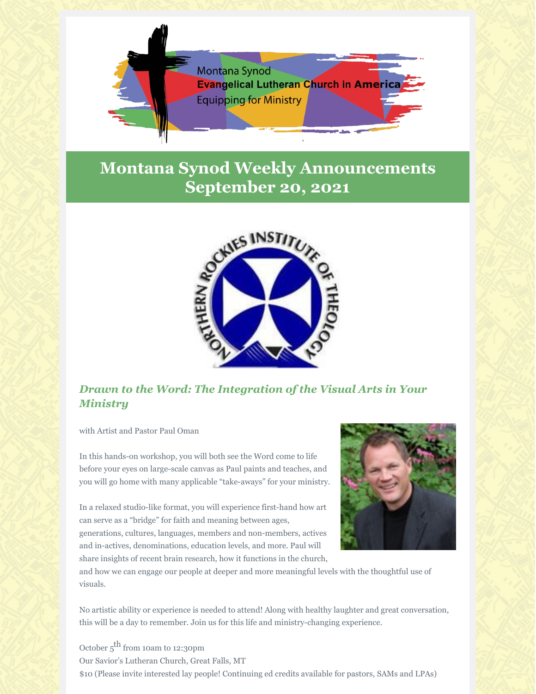

## **Montana Synod Weekly Announcements September 20, 2021**



## *Drawn to the Word: The Integration of the Visual Arts in Your Ministry*

with Artist and Pastor Paul Oman

In this hands-on workshop, you will both see the Word come to life before your eyes on large-scale canvas as Paul paints and teaches, and you will go home with many applicable "take-aways" for your ministry.

In a relaxed studio-like format, you will experience first-hand how art can serve as a "bridge" for faith and meaning between ages,

generations, cultures, languages, members and non-members, actives and in-actives, denominations, education levels, and more. Paul will share insights of recent brain research, how it functions in the church,



and how we can engage our people at deeper and more meaningful levels with the thoughtful use of visuals.

No artistic ability or experience is needed to attend! Along with healthy laughter and great conversation, this will be a day to remember. Join us for this life and ministry-changing experience.

October  $5^{\text{th}}$  from 10am to 12:30pm Our Savior's Lutheran Church, Great Falls, MT \$10 (Please invite interested lay people! Continuing ed credits available for pastors, SAMs and LPAs)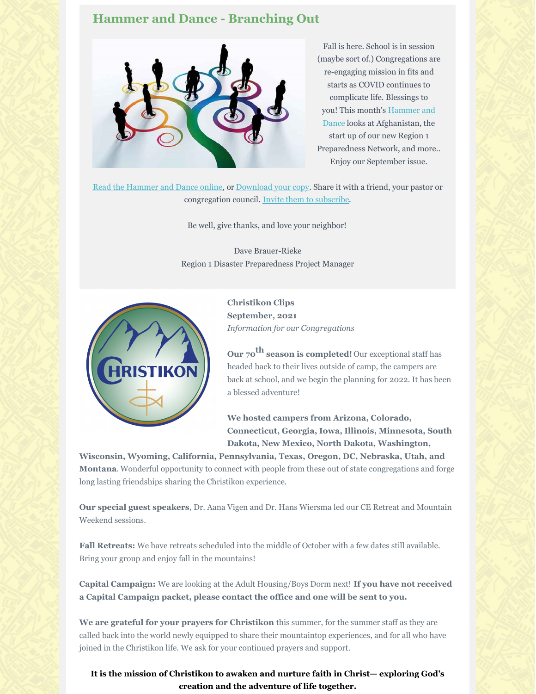## **Hammer and Dance - Branching Out**



Fall is here. School is in session (maybe sort of.) Congregations are re-engaging mission in fits and starts as COVID continues to complicate life. Blessings to you! This month's Hammer and Dance looks at Afghanistan, the start up of our new Region 1 Preparedness Network, and more.. Enjoy our September issue.

Read the Hammer and Dance online, or Download your copy. Share it with a friend, your pastor or congregation council. Invite them to subscribe.

Be well, give thanks, and love your neighbor!

Dave Brauer-Rieke Region 1 Disaster Preparedness Project Manager



**Christikon Clips September, 2021** *Information for our Congregations*

**Our 70 th season is completed!** Our exceptional staff has headed back to their lives outside of camp, the campers are back at school, and we begin the planning for 2022. It has been a blessed adventure!

**We hosted campers from Arizona, Colorado, Connecticut, Georgia, Iowa, Illinois, Minnesota, South Dakota, New Mexico, North Dakota, Washington,**

**Wisconsin, Wyoming, California, Pennsylvania, Texas, Oregon, DC, Nebraska, Utah, and Montana**. Wonderful opportunity to connect with people from these out of state congregations and forge long lasting friendships sharing the Christikon experience.

**Our special guest speakers**, Dr. Aana Vigen and Dr. Hans Wiersma led our CE Retreat and Mountain Weekend sessions.

**Fall Retreats:** We have retreats scheduled into the middle of October with a few dates still available. Bring your group and enjoy fall in the mountains!

**Capital Campaign:** We are looking at the Adult Housing/Boys Dorm next! **If you have not received a Capital Campaign packet, please contact the office and one will be sent to you.**

**We are grateful for your prayers for Christikon** this summer, for the summer staff as they are called back into the world newly equipped to share their mountaintop experiences, and for all who have joined in the Christikon life. We ask for your continued prayers and support.

**It is the mission of Christikon to awaken and nurture faith in Christ— exploring God's creation and the adventure of life together.**